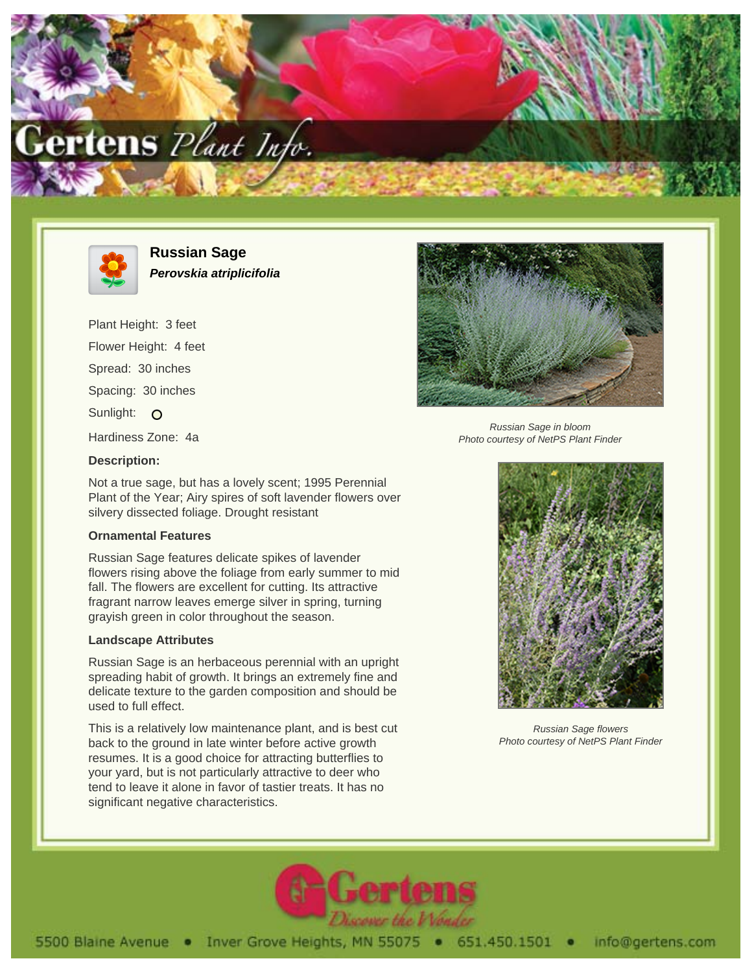



**Russian Sage Perovskia atriplicifolia**

Plant Height: 3 feet Flower Height: 4 feet Spread: 30 inches Spacing: 30 inches Sunlight: O Hardiness Zone: 4a



Russian Sage in bloom Photo courtesy of NetPS Plant Finder

## **Description:**

Not a true sage, but has a lovely scent; 1995 Perennial Plant of the Year; Airy spires of soft lavender flowers over silvery dissected foliage. Drought resistant

## **Ornamental Features**

Russian Sage features delicate spikes of lavender flowers rising above the foliage from early summer to mid fall. The flowers are excellent for cutting. Its attractive fragrant narrow leaves emerge silver in spring, turning grayish green in color throughout the season.

## **Landscape Attributes**

Russian Sage is an herbaceous perennial with an upright spreading habit of growth. It brings an extremely fine and delicate texture to the garden composition and should be used to full effect.

This is a relatively low maintenance plant, and is best cut back to the ground in late winter before active growth resumes. It is a good choice for attracting butterflies to your yard, but is not particularly attractive to deer who tend to leave it alone in favor of tastier treats. It has no significant negative characteristics.



Russian Sage flowers Photo courtesy of NetPS Plant Finder